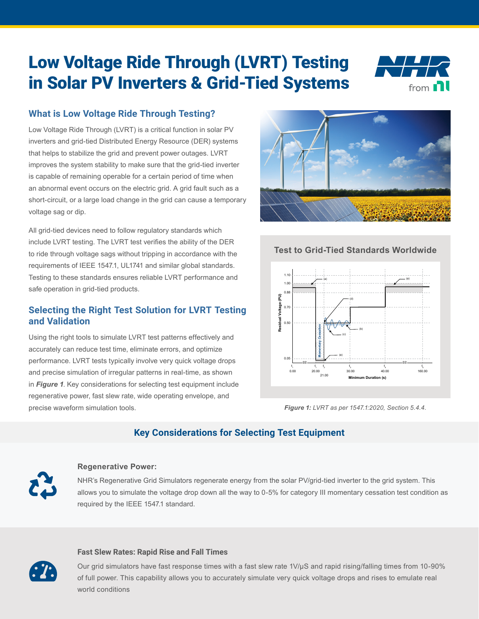# Low Voltage Ride Through (LVRT) Testing in Solar PV Inverters & Grid-Tied Systems



# **What is Low Voltage Ride Through Testing?**

Low Voltage Ride Through (LVRT) is a critical function in solar PV inverters and grid-tied Distributed Energy Resource (DER) systems that helps to stabilize the grid and prevent power outages. LVRT improves the system stability to make sure that the grid-tied inverter is capable of remaining operable for a certain period of time when an abnormal event occurs on the electric grid. A grid fault such as a short-circuit, or a large load change in the grid can cause a temporary voltage sag or dip.

All grid-tied devices need to follow regulatory standards which include LVRT testing. The LVRT test verifies the ability of the DER to ride through voltage sags without tripping in accordance with the requirements of IEEE 1547.1, UL1741 and similar global standards. Testing to these standards ensures reliable LVRT performance and safe operation in grid-tied products.

## **Selecting the Right Test Solution for LVRT Testing and Validation**

Using the right tools to simulate LVRT test patterns effectively and accurately can reduce test time, eliminate errors, and optimize performance. LVRT tests typically involve very quick voltage drops and precise simulation of irregular patterns in real-time, as shown in *Figure 1*. Key considerations for selecting test equipment include regenerative power, fast slew rate, wide operating envelope, and precise waveform simulation tools.



## **Test to Grid-Tied Standards Worldwide**



*Figure 1: LVRT as per 1547.1:2020, Section 5.4.4.*

# **Key Considerations for Selecting Test Equipment**



#### **Regenerative Power:**

NHR's Regenerative Grid Simulators regenerate energy from the solar PV/grid-tied inverter to the grid system. This allows you to simulate the voltage drop down all the way to 0-5% for category III momentary cessation test condition as required by the IEEE 1547.1 standard.

#### **Fast Slew Rates: Rapid Rise and Fall Times**

Our grid simulators have fast response times with a fast slew rate 1V/μS and rapid rising/falling times from 10-90% of full power. This capability allows you to accurately simulate very quick voltage drops and rises to emulate real world conditions